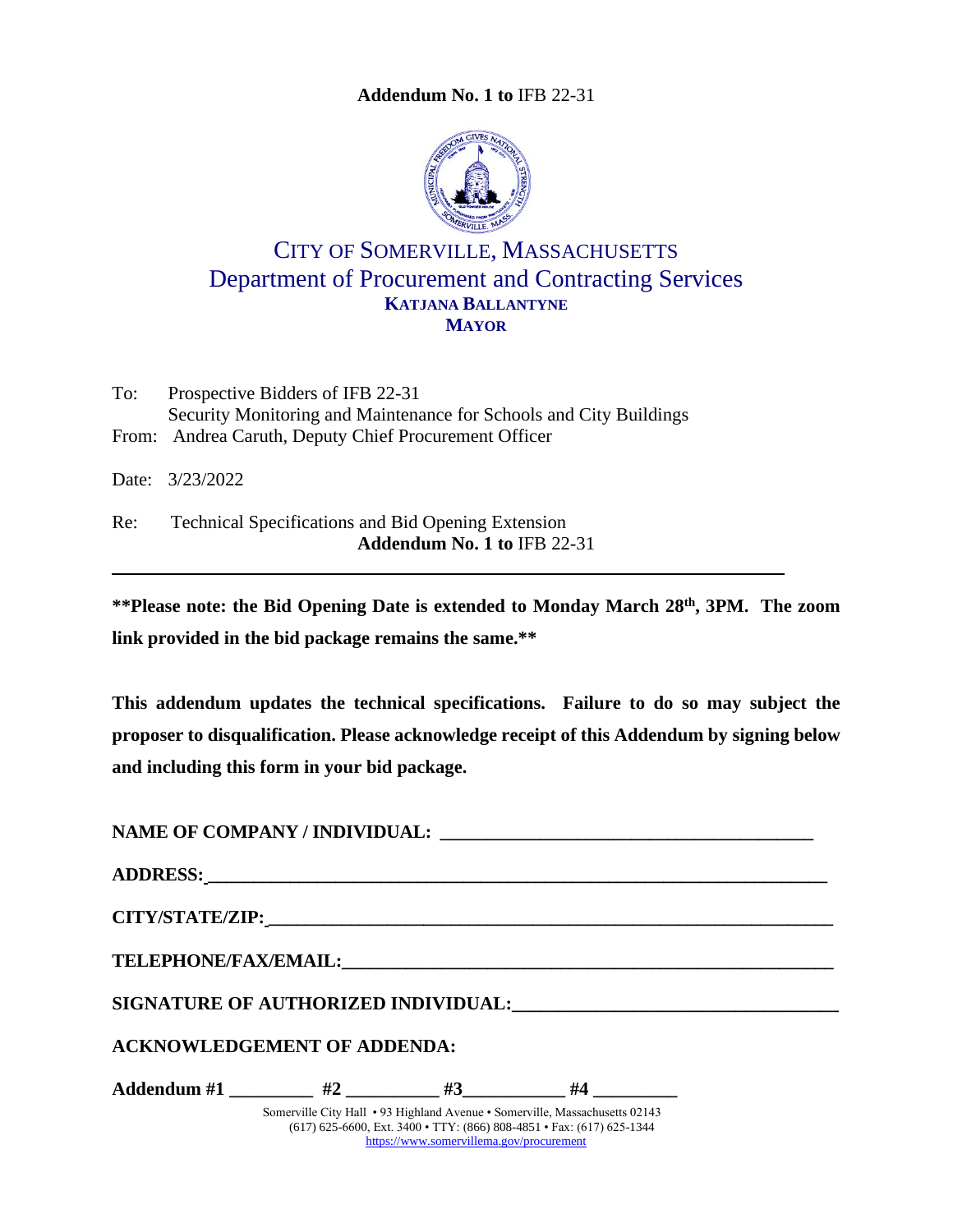**Addendum No. 1 to** IFB [22-31](#page-0-0)



# <span id="page-0-0"></span>CITY OF SOMERVILLE, MASSACHUSETTS Department of Procurement and Contracting Services **KATJANA BALLANTYNE MAYOR**

To: Prospective Bidders of IFB 22-31 Security Monitoring and Maintenance for Schools and City Buildings From: Andrea Caruth, Deputy Chief Procurement Officer

Date: 3/23/2022

Re: Technical Specifications and Bid Opening Extension **Addendum No. 1 to** IFB [22-31](#page-0-0)

**\*\*Please note: the Bid Opening Date is extended to Monday March 28th , 3PM. The zoom link provided in the bid package remains the same.\*\***

**This addendum updates the technical specifications. Failure to do so may subject the proposer to disqualification. Please acknowledge receipt of this Addendum by signing below and including this form in your bid package.** 

| <b>ACKNOWLEDGEMENT OF ADDENDA:</b>                               |                                          |                                                                                                                                                      |  |
|------------------------------------------------------------------|------------------------------------------|------------------------------------------------------------------------------------------------------------------------------------------------------|--|
| Addendum #1 __________ #2 __________ #3___________ #4 __________ |                                          |                                                                                                                                                      |  |
|                                                                  | https://www.somervillema.gov/procurement | Somerville City Hall • 93 Highland Avenue • Somerville, Massachusetts 02143<br>(617) 625-6600, Ext. 3400 • TTY: (866) 808-4851 • Fax: (617) 625-1344 |  |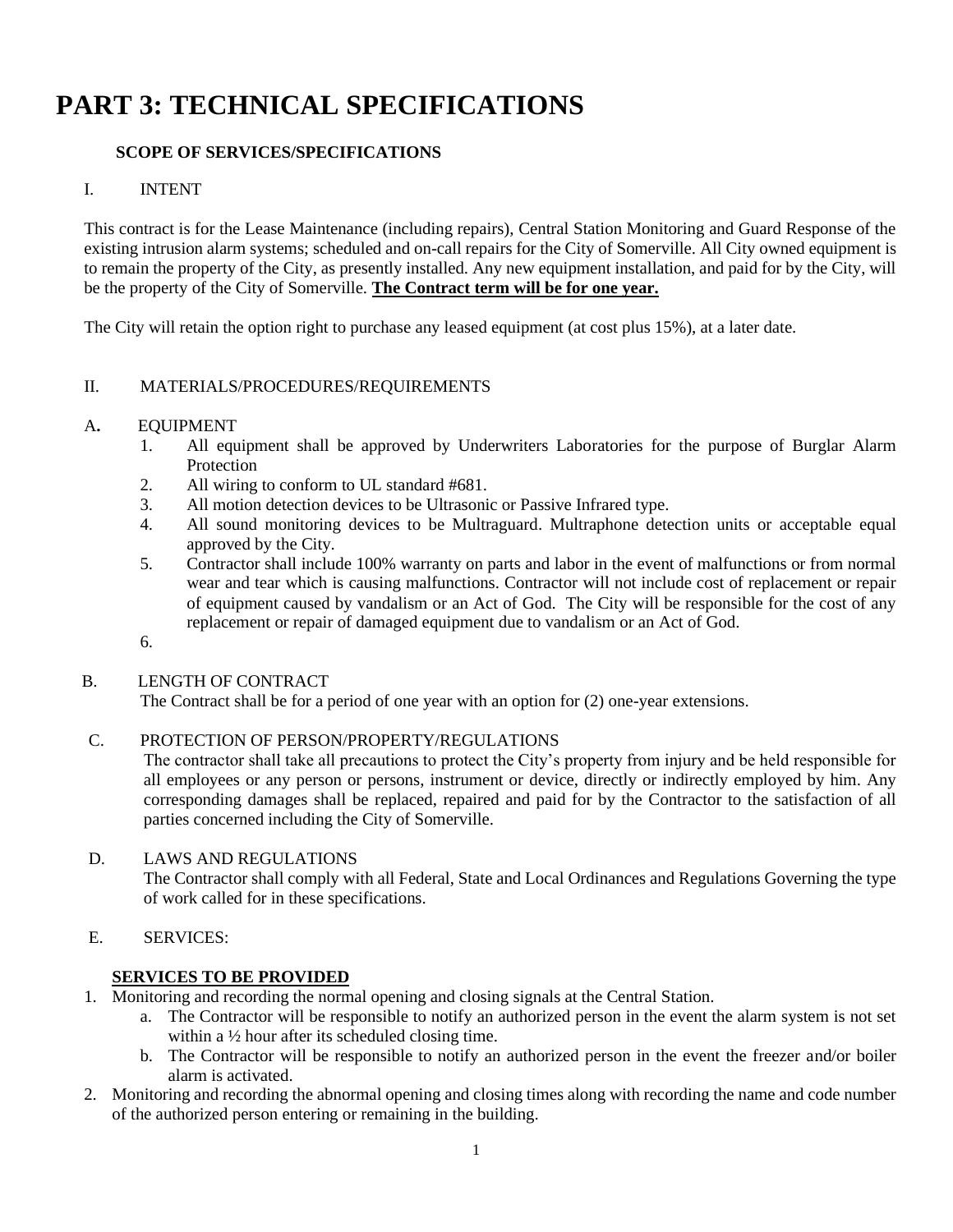# **PART 3: TECHNICAL SPECIFICATIONS**

## **SCOPE OF SERVICES/SPECIFICATIONS**

### I. INTENT

This contract is for the Lease Maintenance (including repairs), Central Station Monitoring and Guard Response of the existing intrusion alarm systems; scheduled and on-call repairs for the City of Somerville. All City owned equipment is to remain the property of the City, as presently installed. Any new equipment installation, and paid for by the City, will be the property of the City of Somerville. **The Contract term will be for one year.**

The City will retain the option right to purchase any leased equipment (at cost plus 15%), at a later date.

### II. MATERIALS/PROCEDURES/REQUIREMENTS

#### A**.** EQUIPMENT

- 1. All equipment shall be approved by Underwriters Laboratories for the purpose of Burglar Alarm **Protection**
- 2. All wiring to conform to UL standard #681.
- 3. All motion detection devices to be Ultrasonic or Passive Infrared type.
- 4. All sound monitoring devices to be Multraguard. Multraphone detection units or acceptable equal approved by the City.
- 5. Contractor shall include 100% warranty on parts and labor in the event of malfunctions or from normal wear and tear which is causing malfunctions. Contractor will not include cost of replacement or repair of equipment caused by vandalism or an Act of God. The City will be responsible for the cost of any replacement or repair of damaged equipment due to vandalism or an Act of God.
- 6.

#### B. LENGTH OF CONTRACT

The Contract shall be for a period of one year with an option for (2) one-year extensions.

#### C. PROTECTION OF PERSON/PROPERTY/REGULATIONS

The contractor shall take all precautions to protect the City's property from injury and be held responsible for all employees or any person or persons, instrument or device, directly or indirectly employed by him. Any corresponding damages shall be replaced, repaired and paid for by the Contractor to the satisfaction of all parties concerned including the City of Somerville.

#### D. LAWS AND REGULATIONS

The Contractor shall comply with all Federal, State and Local Ordinances and Regulations Governing the type of work called for in these specifications.

E. SERVICES:

#### **SERVICES TO BE PROVIDED**

- 1. Monitoring and recording the normal opening and closing signals at the Central Station.
	- a. The Contractor will be responsible to notify an authorized person in the event the alarm system is not set within a ½ hour after its scheduled closing time.
	- b. The Contractor will be responsible to notify an authorized person in the event the freezer and/or boiler alarm is activated.
- 2. Monitoring and recording the abnormal opening and closing times along with recording the name and code number of the authorized person entering or remaining in the building.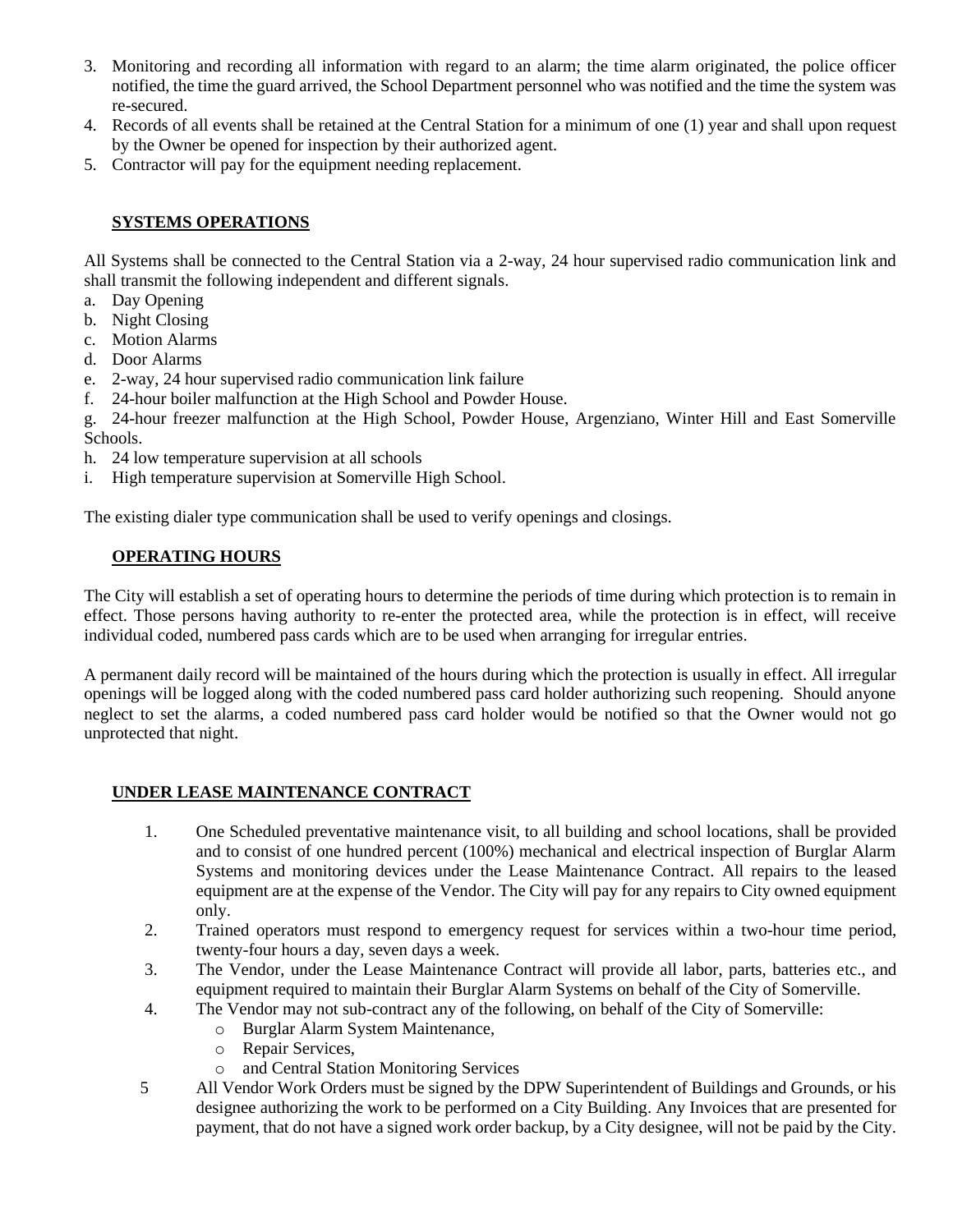- 3. Monitoring and recording all information with regard to an alarm; the time alarm originated, the police officer notified, the time the guard arrived, the School Department personnel who was notified and the time the system was re-secured.
- 4. Records of all events shall be retained at the Central Station for a minimum of one (1) year and shall upon request by the Owner be opened for inspection by their authorized agent.
- 5. Contractor will pay for the equipment needing replacement.

## **SYSTEMS OPERATIONS**

All Systems shall be connected to the Central Station via a 2-way, 24 hour supervised radio communication link and shall transmit the following independent and different signals.

- a. Day Opening
- b. Night Closing
- c. Motion Alarms
- d. Door Alarms
- e. 2-way, 24 hour supervised radio communication link failure
- f. 24-hour boiler malfunction at the High School and Powder House.
- g. 24-hour freezer malfunction at the High School, Powder House, Argenziano, Winter Hill and East Somerville Schools.
- h. 24 low temperature supervision at all schools
- i. High temperature supervision at Somerville High School.

The existing dialer type communication shall be used to verify openings and closings.

### **OPERATING HOURS**

The City will establish a set of operating hours to determine the periods of time during which protection is to remain in effect. Those persons having authority to re-enter the protected area, while the protection is in effect, will receive individual coded, numbered pass cards which are to be used when arranging for irregular entries.

A permanent daily record will be maintained of the hours during which the protection is usually in effect. All irregular openings will be logged along with the coded numbered pass card holder authorizing such reopening. Should anyone neglect to set the alarms, a coded numbered pass card holder would be notified so that the Owner would not go unprotected that night.

### **UNDER LEASE MAINTENANCE CONTRACT**

- 1. One Scheduled preventative maintenance visit, to all building and school locations, shall be provided and to consist of one hundred percent (100%) mechanical and electrical inspection of Burglar Alarm Systems and monitoring devices under the Lease Maintenance Contract. All repairs to the leased equipment are at the expense of the Vendor. The City will pay for any repairs to City owned equipment only.
- 2. Trained operators must respond to emergency request for services within a two-hour time period, twenty-four hours a day, seven days a week.
- 3. The Vendor, under the Lease Maintenance Contract will provide all labor, parts, batteries etc., and equipment required to maintain their Burglar Alarm Systems on behalf of the City of Somerville.
- 4. The Vendor may not sub-contract any of the following, on behalf of the City of Somerville:
	- o Burglar Alarm System Maintenance,
	- o Repair Services,
	- o and Central Station Monitoring Services
- 5 All Vendor Work Orders must be signed by the DPW Superintendent of Buildings and Grounds, or his designee authorizing the work to be performed on a City Building. Any Invoices that are presented for payment, that do not have a signed work order backup, by a City designee, will not be paid by the City.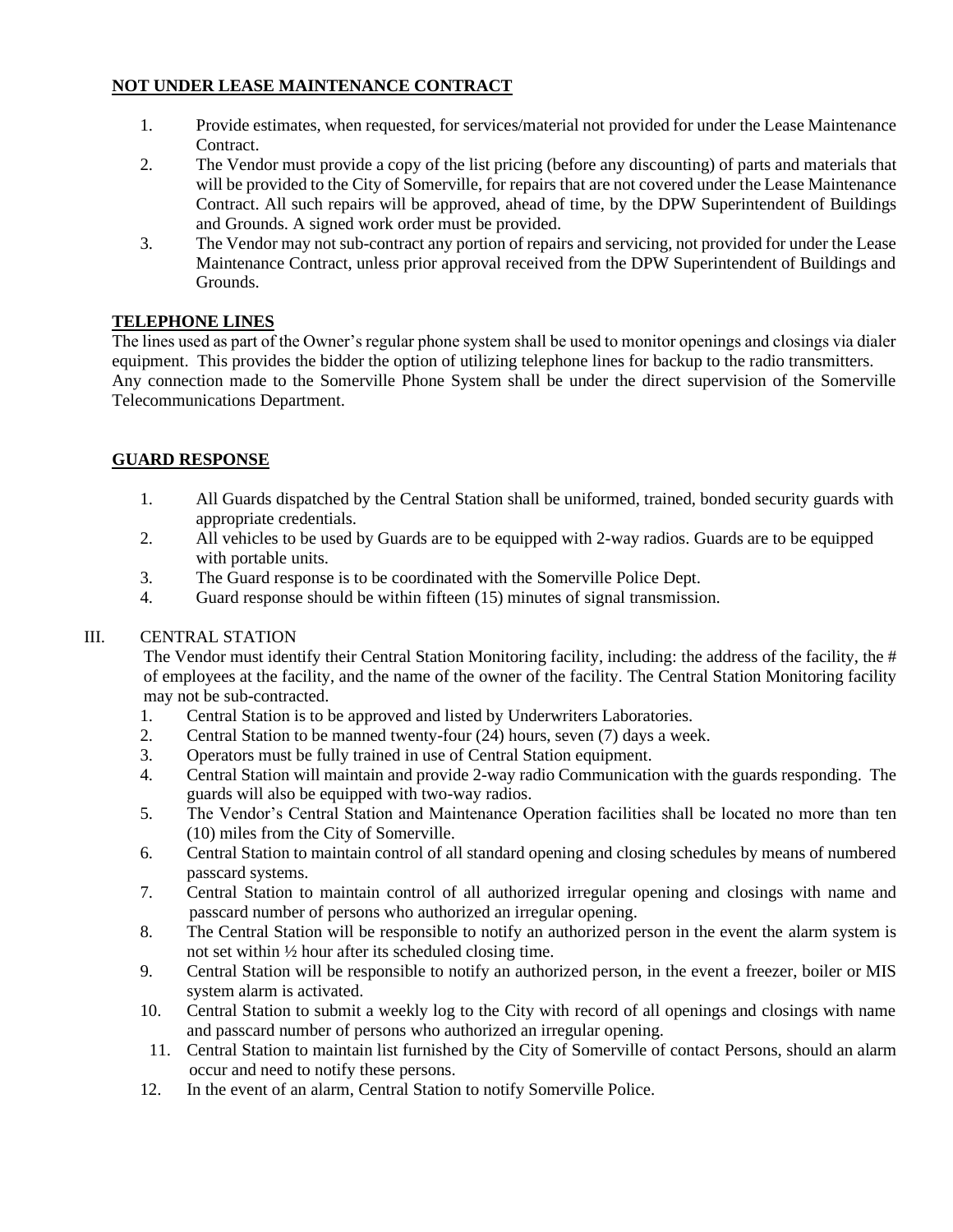# **NOT UNDER LEASE MAINTENANCE CONTRACT**

- 1. Provide estimates, when requested, for services/material not provided for under the Lease Maintenance Contract.
- 2. The Vendor must provide a copy of the list pricing (before any discounting) of parts and materials that will be provided to the City of Somerville, for repairs that are not covered under the Lease Maintenance Contract. All such repairs will be approved, ahead of time, by the DPW Superintendent of Buildings and Grounds. A signed work order must be provided.
- 3. The Vendor may not sub-contract any portion of repairs and servicing, not provided for under the Lease Maintenance Contract, unless prior approval received from the DPW Superintendent of Buildings and Grounds.

### **TELEPHONE LINES**

The lines used as part of the Owner's regular phone system shall be used to monitor openings and closings via dialer equipment. This provides the bidder the option of utilizing telephone lines for backup to the radio transmitters. Any connection made to the Somerville Phone System shall be under the direct supervision of the Somerville Telecommunications Department.

#### **GUARD RESPONSE**

- 1. All Guards dispatched by the Central Station shall be uniformed, trained, bonded security guards with appropriate credentials.
- 2. All vehicles to be used by Guards are to be equipped with 2-way radios. Guards are to be equipped with portable units.
- 3. The Guard response is to be coordinated with the Somerville Police Dept.
- 4. Guard response should be within fifteen (15) minutes of signal transmission.

#### III. CENTRAL STATION

The Vendor must identify their Central Station Monitoring facility, including: the address of the facility, the # of employees at the facility, and the name of the owner of the facility. The Central Station Monitoring facility may not be sub-contracted.

- 1. Central Station is to be approved and listed by Underwriters Laboratories.
- 2. Central Station to be manned twenty-four (24) hours, seven (7) days a week.
- 3. Operators must be fully trained in use of Central Station equipment.
- 4. Central Station will maintain and provide 2-way radio Communication with the guards responding. The guards will also be equipped with two-way radios.
- 5. The Vendor's Central Station and Maintenance Operation facilities shall be located no more than ten (10) miles from the City of Somerville.
- 6. Central Station to maintain control of all standard opening and closing schedules by means of numbered passcard systems.
- 7. Central Station to maintain control of all authorized irregular opening and closings with name and passcard number of persons who authorized an irregular opening.
- 8. The Central Station will be responsible to notify an authorized person in the event the alarm system is not set within ½ hour after its scheduled closing time.
- 9. Central Station will be responsible to notify an authorized person, in the event a freezer, boiler or MIS system alarm is activated.
- 10. Central Station to submit a weekly log to the City with record of all openings and closings with name and passcard number of persons who authorized an irregular opening.
- 11. Central Station to maintain list furnished by the City of Somerville of contact Persons, should an alarm occur and need to notify these persons.
- 12. In the event of an alarm, Central Station to notify Somerville Police.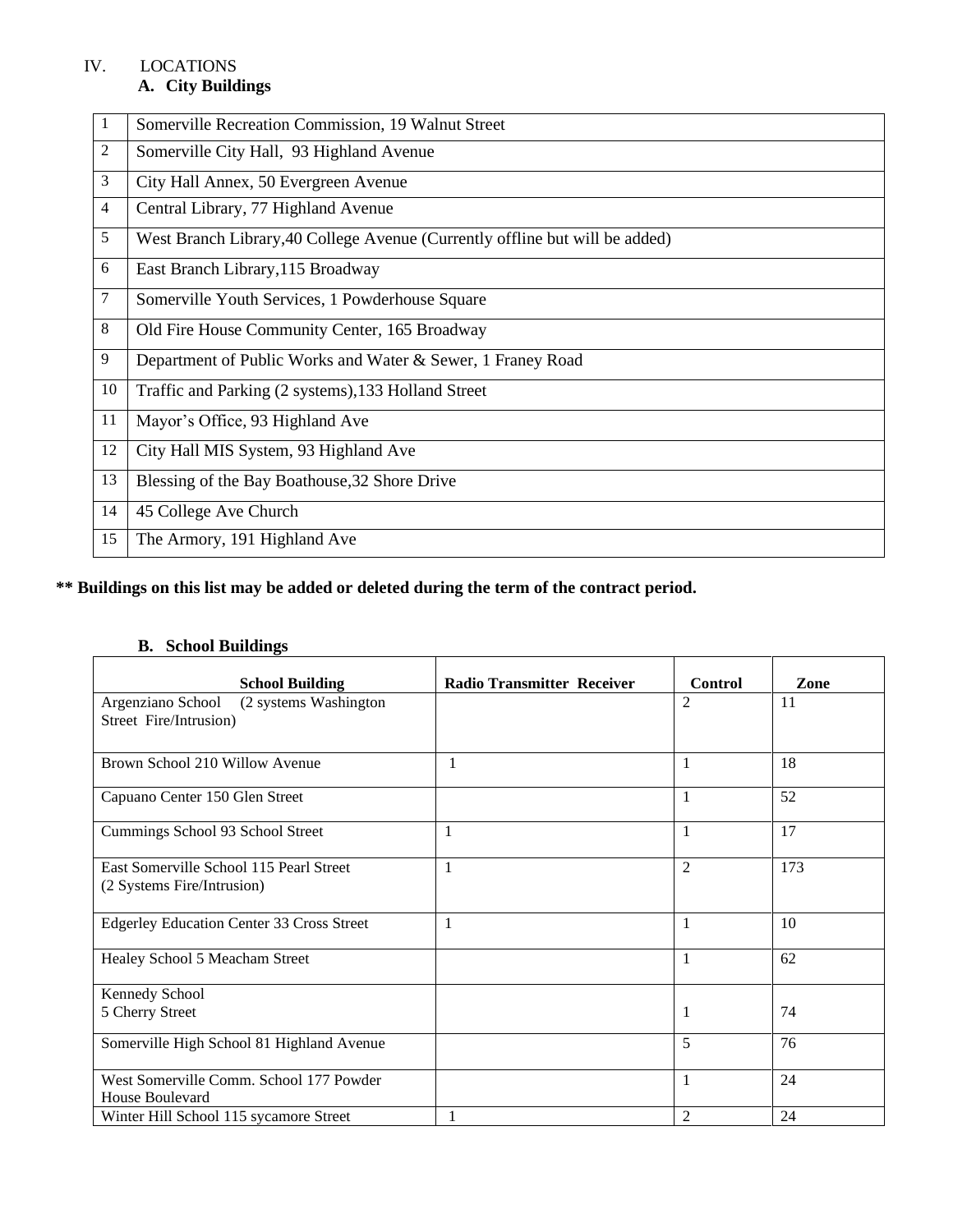# IV. LOCATIONS

# **A. City Buildings**

| 1  | Somerville Recreation Commission, 19 Walnut Street                           |
|----|------------------------------------------------------------------------------|
| 2  | Somerville City Hall, 93 Highland Avenue                                     |
| 3  | City Hall Annex, 50 Evergreen Avenue                                         |
| 4  | Central Library, 77 Highland Avenue                                          |
| 5  | West Branch Library, 40 College Avenue (Currently offline but will be added) |
| 6  | East Branch Library, 115 Broadway                                            |
| 7  | Somerville Youth Services, 1 Powderhouse Square                              |
| 8  | Old Fire House Community Center, 165 Broadway                                |
| 9  | Department of Public Works and Water & Sewer, 1 Franey Road                  |
| 10 | Traffic and Parking (2 systems), 133 Holland Street                          |
| 11 | Mayor's Office, 93 Highland Ave                                              |
| 12 | City Hall MIS System, 93 Highland Ave                                        |
| 13 | Blessing of the Bay Boathouse, 32 Shore Drive                                |
| 14 | 45 College Ave Church                                                        |
| 15 | The Armory, 191 Highland Ave                                                 |

# **\*\* Buildings on this list may be added or deleted during the term of the contract period.**

## **B. School Buildings**

| <b>School Building</b>                                                | <b>Radio Transmitter Receiver</b> | <b>Control</b> | Zone |
|-----------------------------------------------------------------------|-----------------------------------|----------------|------|
| Argenziano School<br>(2 systems Washington                            |                                   | $\overline{2}$ | 11   |
| Street Fire/Intrusion)                                                |                                   |                |      |
|                                                                       |                                   |                |      |
| Brown School 210 Willow Avenue                                        | 1                                 | 1              | 18   |
| Capuano Center 150 Glen Street                                        |                                   | 1              | 52   |
| Cummings School 93 School Street                                      | 1                                 | 1              | 17   |
| East Somerville School 115 Pearl Street<br>(2 Systems Fire/Intrusion) | $\mathbf{1}$                      | $\overline{2}$ | 173  |
| Edgerley Education Center 33 Cross Street                             | $\mathbf{1}$                      | 1              | 10   |
| Healey School 5 Meacham Street                                        |                                   | 1              | 62   |
| Kennedy School                                                        |                                   |                |      |
| 5 Cherry Street                                                       |                                   | 1              | 74   |
| Somerville High School 81 Highland Avenue                             |                                   | 5              | 76   |
| West Somerville Comm. School 177 Powder<br>House Boulevard            |                                   | 1              | 24   |
| Winter Hill School 115 sycamore Street                                |                                   | 2              | 24   |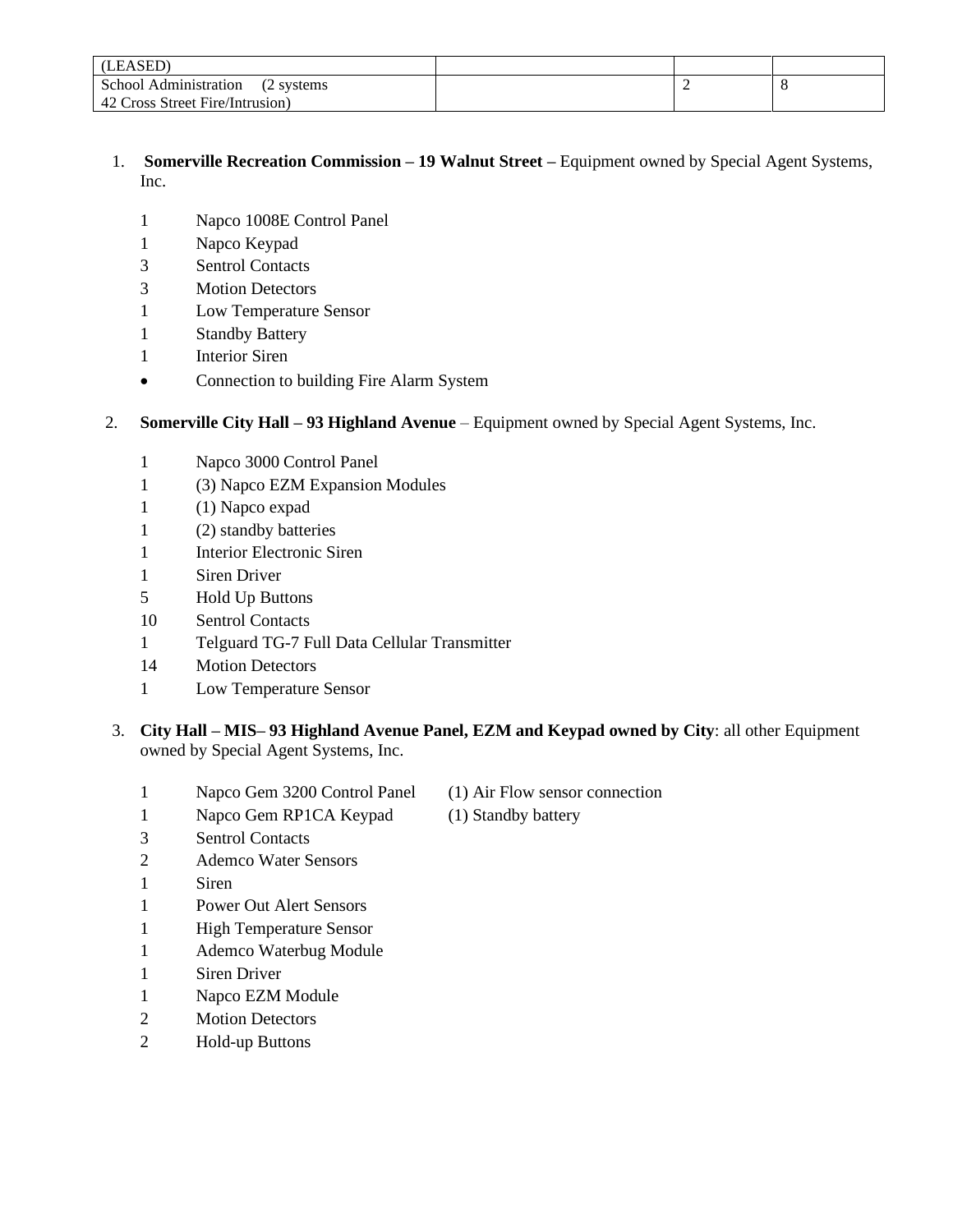| (LEASED)                             |  |  |
|--------------------------------------|--|--|
| School Administration<br>(2 systems) |  |  |
| 42 Cross Street Fire/Intrusion)      |  |  |

- 1. **Somerville Recreation Commission – 19 Walnut Street –** Equipment owned by Special Agent Systems, Inc.
	- Napco 1008E Control Panel
	- Napco Keypad
	- Sentrol Contacts
	- Motion Detectors
	- Low Temperature Sensor
	- Standby Battery
	- Interior Siren
	- Connection to building Fire Alarm System

#### 2. **Somerville City Hall – 93 Highland Avenue** – Equipment owned by Special Agent Systems, Inc.

- Napco 3000 Control Panel
- (3) Napco EZM Expansion Modules
- (1) Napco expad
- (2) standby batteries
- Interior Electronic Siren
- Siren Driver
- Hold Up Buttons
- Sentrol Contacts
- Telguard TG-7 Full Data Cellular Transmitter
- Motion Detectors
- Low Temperature Sensor
- 3. **City Hall – MIS– 93 Highland Avenue Panel, EZM and Keypad owned by City**: all other Equipment owned by Special Agent Systems, Inc.
	- Napco Gem 3200 Control Panel (1) Air Flow sensor connection
	- 1 Napco Gem RP1CA Keypad (1) Standby battery
		-

- Sentrol Contacts
- Ademco Water Sensors
- Siren
- Power Out Alert Sensors
- 1 High Temperature Sensor
- 1 Ademco Waterbug Module
- Siren Driver
- 1 Napco EZM Module
- Motion Detectors
- Hold-up Buttons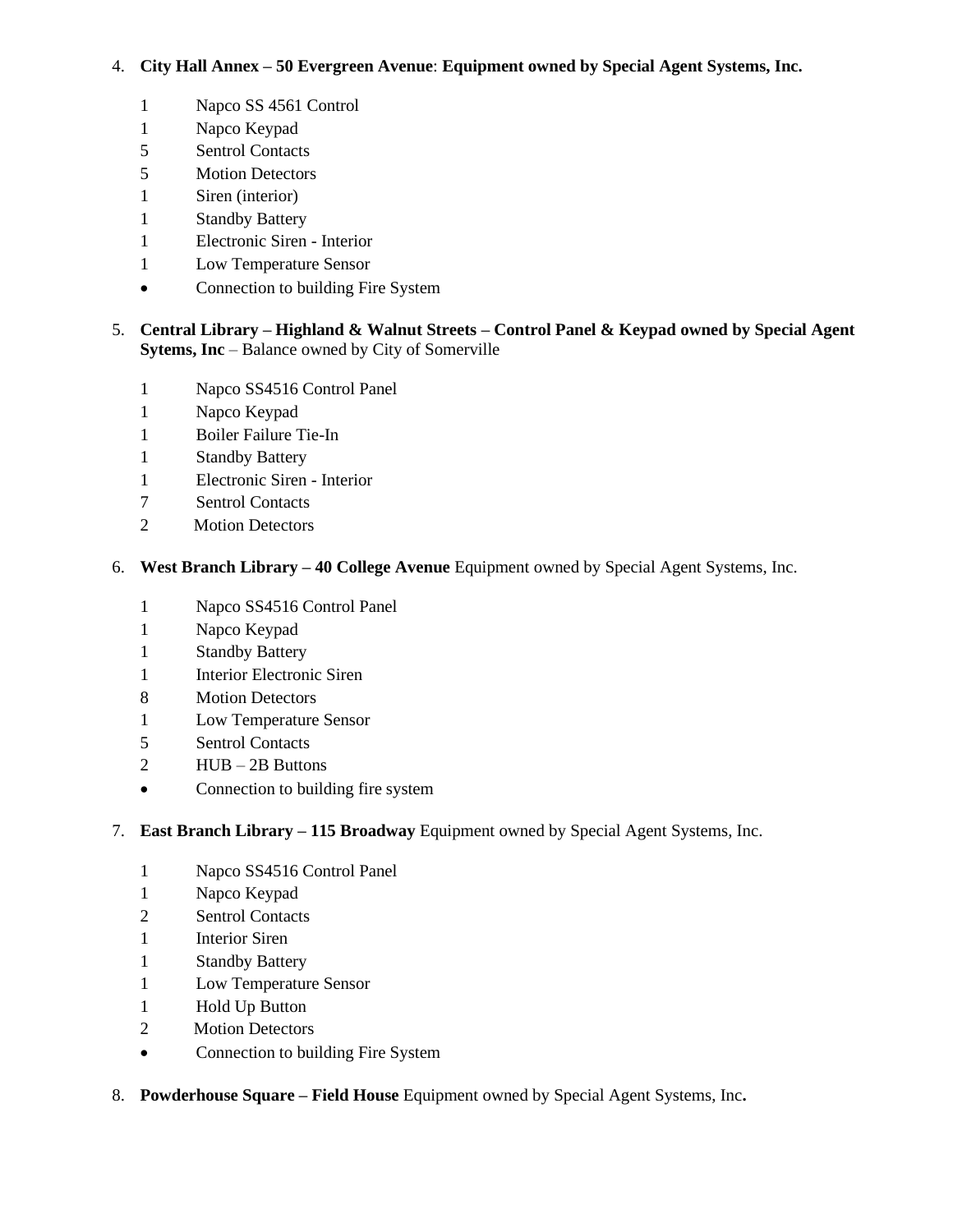#### 4. **City Hall Annex – 50 Evergreen Avenue**: **Equipment owned by Special Agent Systems, Inc.**

- 1 Napco SS 4561 Control
- Napco Keypad
- Sentrol Contacts
- Motion Detectors
- Siren (interior)
- Standby Battery
- Electronic Siren Interior
- Low Temperature Sensor
- Connection to building Fire System
- 5. **Central Library – Highland & Walnut Streets – Control Panel & Keypad owned by Special Agent Sytems, Inc** – Balance owned by City of Somerville
	- Napco SS4516 Control Panel
	- Napco Keypad
	- Boiler Failure Tie-In
	- Standby Battery
	- Electronic Siren Interior
	- Sentrol Contacts
	- 2 Motion Detectors
- 6. **West Branch Library – 40 College Avenue** Equipment owned by Special Agent Systems, Inc.
	- Napco SS4516 Control Panel
	- Napco Keypad
	- Standby Battery
	- Interior Electronic Siren
	- Motion Detectors
	- 1 Low Temperature Sensor
	- Sentrol Contacts
	- HUB 2B Buttons
	- Connection to building fire system

### 7. **East Branch Library – 115 Broadway** Equipment owned by Special Agent Systems, Inc.

- Napco SS4516 Control Panel
- Napco Keypad
- Sentrol Contacts
- Interior Siren
- Standby Battery
- 1 Low Temperature Sensor
- Hold Up Button
- 2 Motion Detectors
- Connection to building Fire System

#### 8. **Powderhouse Square – Field House** Equipment owned by Special Agent Systems, Inc**.**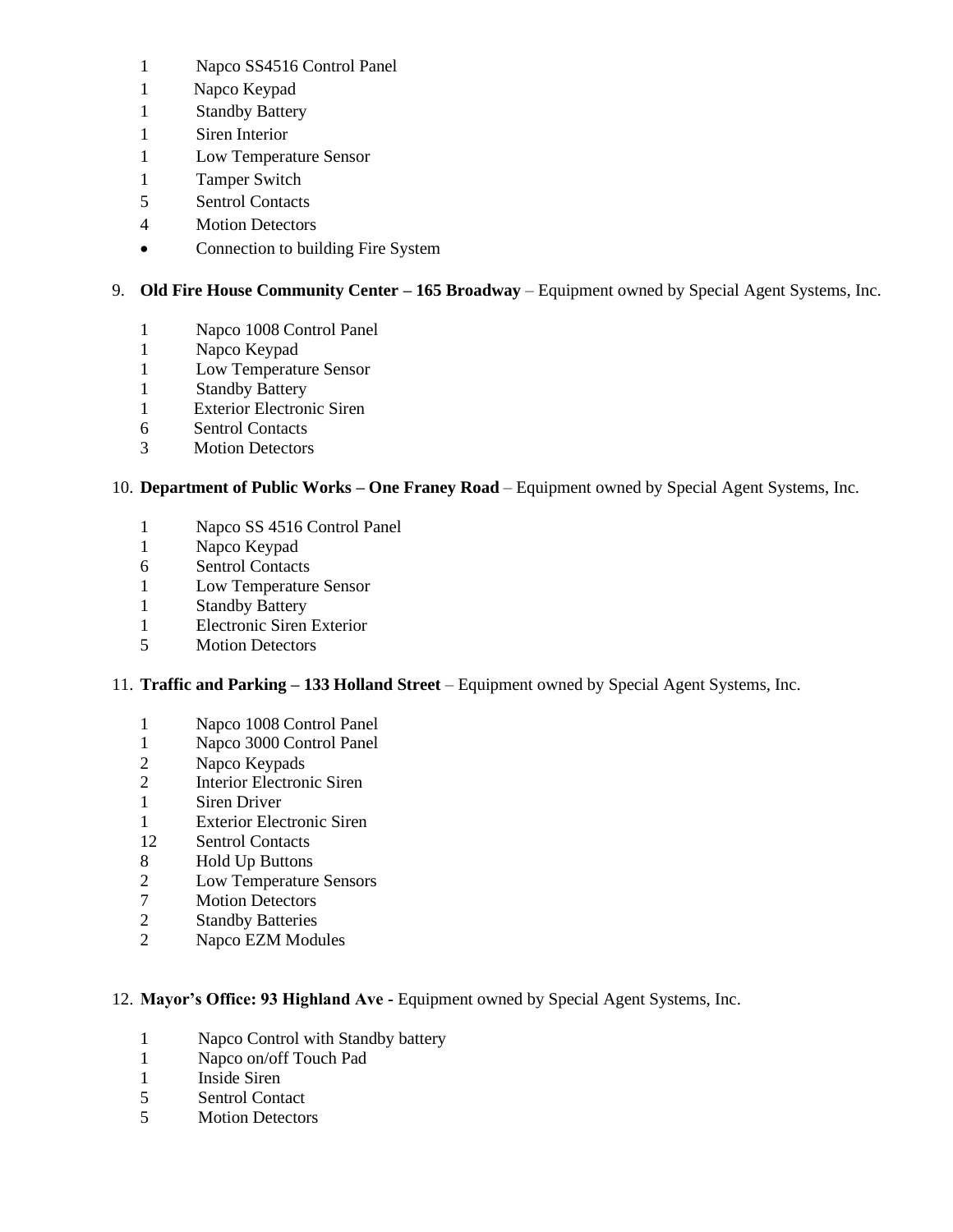- Napco SS4516 Control Panel
- 1 Napco Keypad
- Standby Battery
- Siren Interior
- Low Temperature Sensor
- Tamper Switch
- Sentrol Contacts
- Motion Detectors
- Connection to building Fire System

## 9. **Old Fire House Community Center – 165 Broadway** – Equipment owned by Special Agent Systems, Inc.

- Napco 1008 Control Panel
- Napco Keypad
- Low Temperature Sensor
- Standby Battery
- 1 Exterior Electronic Siren
- 6 Sentrol Contacts
- 3 Motion Detectors

### 10. **Department of Public Works – One Franey Road** – Equipment owned by Special Agent Systems, Inc.

- Napco SS 4516 Control Panel
- Napco Keypad
- Sentrol Contacts
- Low Temperature Sensor
- 1 Standby Battery
- Electronic Siren Exterior
- Motion Detectors

### 11. **Traffic and Parking – 133 Holland Street** – Equipment owned by Special Agent Systems, Inc.

- Napco 1008 Control Panel
- Napco 3000 Control Panel
- Napco Keypads
- Interior Electronic Siren
- Siren Driver
- Exterior Electronic Siren
- 12 Sentrol Contacts
- Hold Up Buttons
- Low Temperature Sensors
- Motion Detectors
- Standby Batteries
- Napco EZM Modules

#### 12. **Mayor's Office: 93 Highland Ave -** Equipment owned by Special Agent Systems, Inc.

- 1 Napco Control with Standby battery
- 1 Napco on/off Touch Pad
- 1 Inside Siren
- 5 Sentrol Contact
- 5 Motion Detectors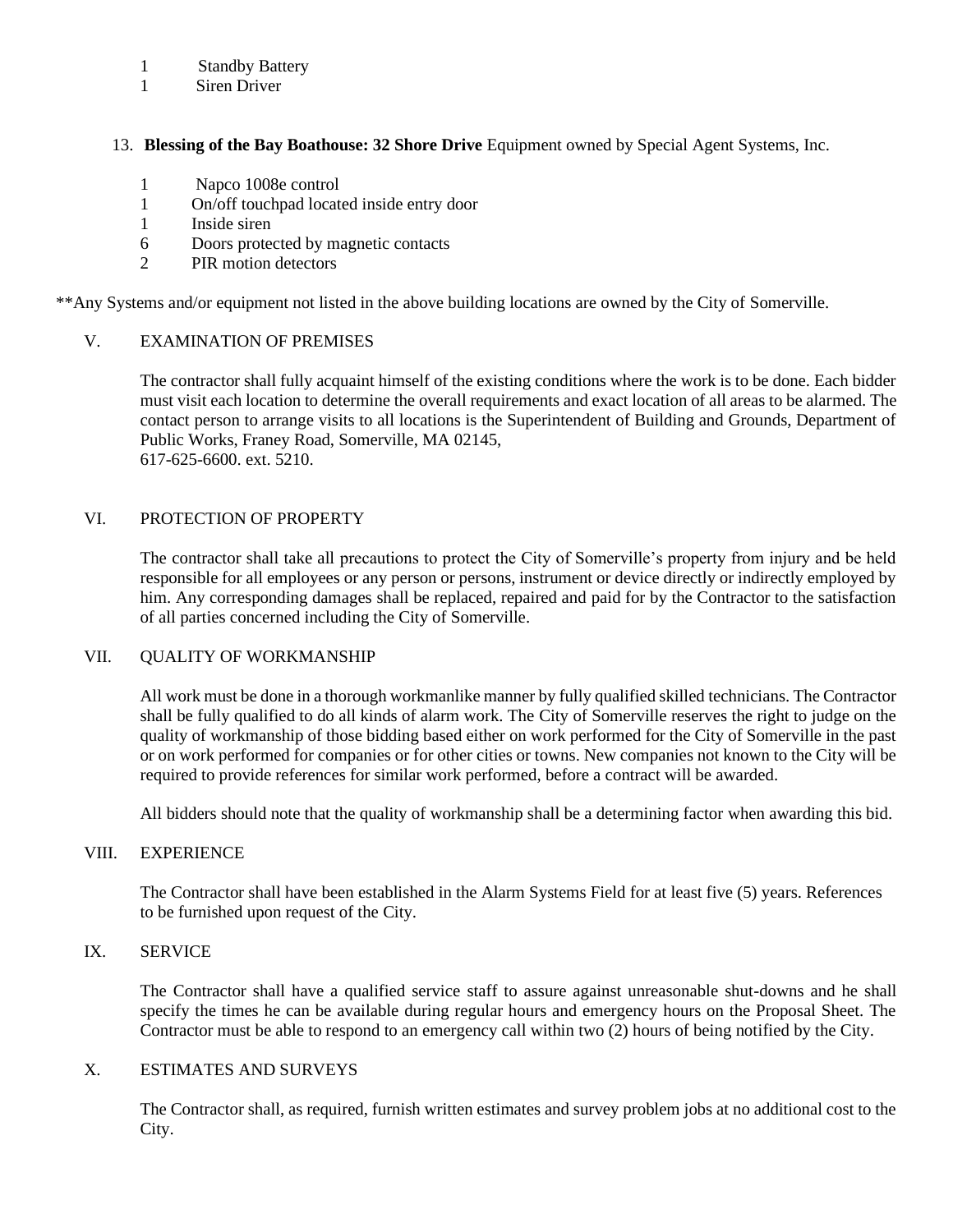#### 1 Standby Battery

1 Siren Driver

#### 13. **Blessing of the Bay Boathouse: 32 Shore Drive** Equipment owned by Special Agent Systems, Inc.

- 1 Napco 1008e control
- 1 On/off touchpad located inside entry door
- 1 Inside siren
- 6 Doors protected by magnetic contacts
- 2 PIR motion detectors

\*\*Any Systems and/or equipment not listed in the above building locations are owned by the City of Somerville.

#### V. EXAMINATION OF PREMISES

The contractor shall fully acquaint himself of the existing conditions where the work is to be done. Each bidder must visit each location to determine the overall requirements and exact location of all areas to be alarmed. The contact person to arrange visits to all locations is the Superintendent of Building and Grounds, Department of Public Works, Franey Road, Somerville, MA 02145, 617-625-6600. ext. 5210.

#### VI. PROTECTION OF PROPERTY

The contractor shall take all precautions to protect the City of Somerville's property from injury and be held responsible for all employees or any person or persons, instrument or device directly or indirectly employed by him. Any corresponding damages shall be replaced, repaired and paid for by the Contractor to the satisfaction of all parties concerned including the City of Somerville.

#### VII. QUALITY OF WORKMANSHIP

All work must be done in a thorough workmanlike manner by fully qualified skilled technicians. The Contractor shall be fully qualified to do all kinds of alarm work. The City of Somerville reserves the right to judge on the quality of workmanship of those bidding based either on work performed for the City of Somerville in the past or on work performed for companies or for other cities or towns. New companies not known to the City will be required to provide references for similar work performed, before a contract will be awarded.

All bidders should note that the quality of workmanship shall be a determining factor when awarding this bid.

#### VIII. EXPERIENCE

The Contractor shall have been established in the Alarm Systems Field for at least five (5) years. References to be furnished upon request of the City.

### IX. SERVICE

The Contractor shall have a qualified service staff to assure against unreasonable shut-downs and he shall specify the times he can be available during regular hours and emergency hours on the Proposal Sheet. The Contractor must be able to respond to an emergency call within two (2) hours of being notified by the City.

#### X. ESTIMATES AND SURVEYS

The Contractor shall, as required, furnish written estimates and survey problem jobs at no additional cost to the City.